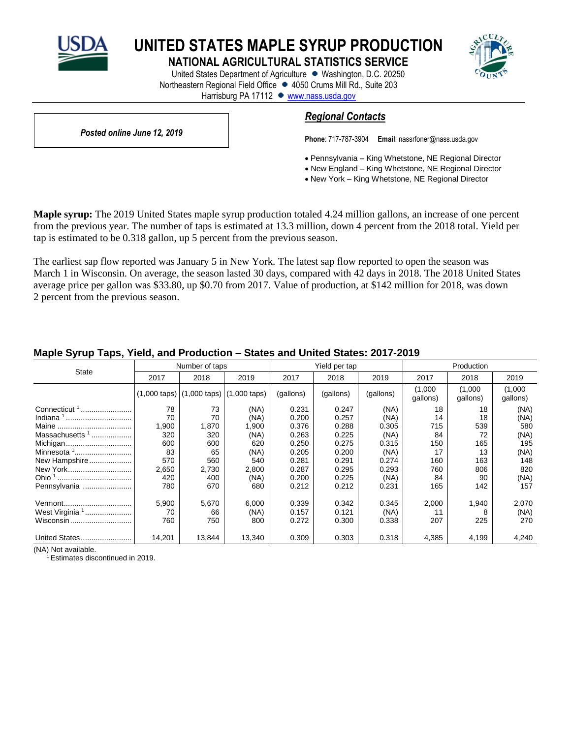

**UNITED STATES MAPLE SYRUP PRODUCTION**

**NATIONAL AGRICULTURAL STATISTICS SERVICE**

United States Department of Agriculture • Washington, D.C. 20250 Northeastern Regional Field Office • 4050 Crums Mill Rd., Suite 203 Harrisburg PA 17112 · [www.nass.usda.gov](http://www.nass.usda.gov/)



*Posted online June 12, 2019*

# *Regional Contacts*

**Phone**: 717-787-3904 **Email**[: nassrfoner@nass.usda.gov](mailto:nassrfoner@nass.usda.gov)

- Pennsylvania King Whetstone, NE Regional Director
- New England King Whetstone, NE Regional Director
- New York King Whetstone, NE Regional Director

**Maple syrup:** The 2019 United States maple syrup production totaled 4.24 million gallons, an increase of one percent from the previous year. The number of taps is estimated at 13.3 million, down 4 percent from the 2018 total. Yield per tap is estimated to be 0.318 gallon, up 5 percent from the previous season.

The earliest sap flow reported was January 5 in New York. The latest sap flow reported to open the season was March 1 in Wisconsin. On average, the season lasted 30 days, compared with 42 days in 2018. The 2018 United States average price per gallon was \$33.80, up \$0.70 from 2017. Value of production, at \$142 million for 2018, was down 2 percent from the previous season.

| <b>State</b>               |        | Number of taps                                                       |        | Yield per tap |           |           | Production          |                     |                     |
|----------------------------|--------|----------------------------------------------------------------------|--------|---------------|-----------|-----------|---------------------|---------------------|---------------------|
|                            | 2017   | 2018                                                                 | 2019   | 2017          | 2018      | 2019      | 2017                | 2018                | 2019                |
|                            |        | $(1,000 \text{ taps})$ $(1,000 \text{ taps})$ $(1,000 \text{ taps})$ |        | (gallons)     | (gallons) | (gallons) | (1,000)<br>gallons) | (1,000)<br>gallons) | (1,000)<br>gallons) |
| Connecticut <sup>1</sup>   | 78     | 73                                                                   | (NA)   | 0.231         | 0.247     | (NA)      | 18                  | 18                  | (NA)                |
|                            | 70     | 70                                                                   | (NA)   | 0.200         | 0.257     | (NA)      | 14                  | 18                  | (NA)                |
|                            | 1,900  | 1,870                                                                | 1,900  | 0.376         | 0.288     | 0.305     | 715                 | 539                 | 580                 |
| Massachusetts <sup>1</sup> | 320    | 320                                                                  | (NA)   | 0.263         | 0.225     | (NA)      | 84                  | 72                  | (NA)                |
| Michigan                   | 600    | 600                                                                  | 620    | 0.250         | 0.275     | 0.315     | 150                 | 165                 | 195                 |
|                            | 83     | 65                                                                   | (NA)   | 0.205         | 0.200     | (NA)      | 17                  | 13                  | (NA)                |
| New Hampshire              | 570    | 560                                                                  | 540    | 0.281         | 0.291     | 0.274     | 160                 | 163                 | 148                 |
| New York                   | 2,650  | 2,730                                                                | 2,800  | 0.287         | 0.295     | 0.293     | 760                 | 806                 | 820                 |
|                            | 420    | 400                                                                  | (NA)   | 0.200         | 0.225     | (NA)      | 84                  | 90                  | (NA)                |
| Pennsylvania               | 780    | 670                                                                  | 680    | 0.212         | 0.212     | 0.231     | 165                 | 142                 | 157                 |
| Vermont                    | 5,900  | 5,670                                                                | 6,000  | 0.339         | 0.342     | 0.345     | 2,000               | 1,940               | 2,070               |
| West Virginia <sup>1</sup> | 70     | 66                                                                   | (NA)   | 0.157         | 0.121     | (NA)      | 11                  | 8                   | (NA)                |
| Wisconsin                  | 760    | 750                                                                  | 800    | 0.272         | 0.300     | 0.338     | 207                 | 225                 | 270                 |
| United States              | 14,201 | 13,844                                                               | 13,340 | 0.309         | 0.303     | 0.318     | 4,385               | 4,199               | 4,240               |

## **Maple Syrup Taps, Yield, and Production – States and United States: 2017-2019**

(NA) Not available.

<sup>1</sup> Estimates discontinued in 2019.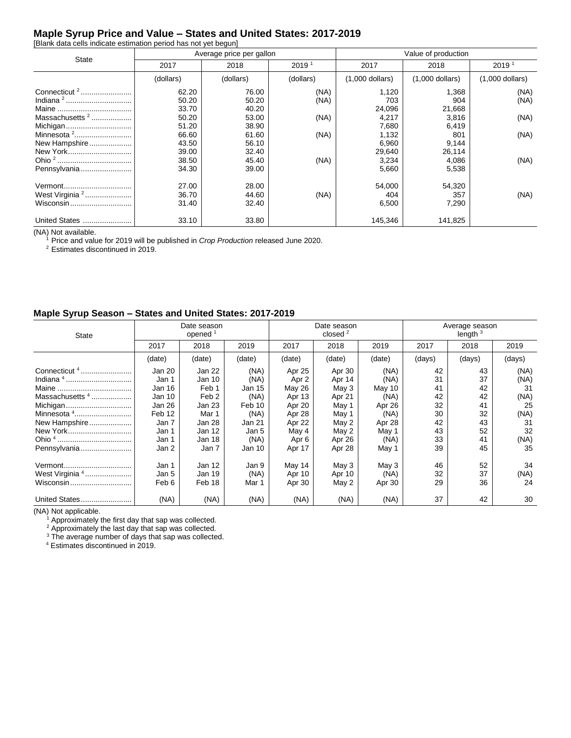## **Maple Syrup Price and Value – States and United States: 2017-2019**

[Blank data cells indicate estimation period has not yet begun]

|                            |           | Average price per gallon    |           | Value of production |                   |                   |  |
|----------------------------|-----------|-----------------------------|-----------|---------------------|-------------------|-------------------|--|
| State                      | 2017      | $2019$ <sup>2</sup><br>2018 |           | 2017                | 2018              | 2019 <sup>1</sup> |  |
|                            | (dollars) | (dollars)                   | (dollars) | $(1,000$ dollars)   | $(1,000$ dollars) | $(1,000$ dollars) |  |
| Connecticut <sup>2</sup>   | 62.20     | 76.00                       | (NA)      | 1,120               | 1,368             | (NA)              |  |
|                            | 50.20     | 50.20                       | (NA)      | 703                 | 904               | (NA)              |  |
| Maine                      | 33.70     | 40.20                       |           | 24,096              | 21,668            |                   |  |
| Massachusetts $2$          | 50.20     | 53.00                       | (NA)      | 4,217               | 3,816             | (NA)              |  |
| Michigan                   | 51.20     | 38.90                       |           | 7,680               | 6,419             |                   |  |
|                            | 66.60     | 61.60                       | (NA)      | 1,132               | 801               | (NA)              |  |
| New Hampshire              | 43.50     | 56.10                       |           | 6,960               | 9,144             |                   |  |
| New York                   | 39.00     | 32.40                       |           | 29,640              | 26,114            |                   |  |
|                            | 38.50     | 45.40                       | (NA)      | 3,234               | 4,086             | (NA)              |  |
| Pennsylvania               | 34.30     | 39.00                       |           | 5,660               | 5,538             |                   |  |
| Vermont                    | 27.00     | 28.00                       |           | 54,000              | 54,320            |                   |  |
| West Virginia <sup>2</sup> | 36.70     | 44.60                       | (NA)      | 404                 | 357               | (NA)              |  |
| Wisconsin                  | 31.40     | 32.40                       |           | 6,500               | 7,290             |                   |  |
| <b>United States</b><br>   | 33.10     | 33.80                       |           | 145,346             | 141,825           |                   |  |

(NA) Not available.

<sup>1</sup> Price and value for 2019 will be published in *Crop Production* released June 2020.

<sup>2</sup> Estimates discontinued in 2019.

## **Maple Syrup Season – States and United States: 2017-2019**

| <b>State</b>               | Date season<br>opened <sup>1</sup> |                  |        | Date season<br>closed $2$ |        |        | Average season<br>length $3$ |        |        |
|----------------------------|------------------------------------|------------------|--------|---------------------------|--------|--------|------------------------------|--------|--------|
|                            | 2017                               | 2018             | 2019   | 2017                      | 2018   | 2019   | 2017                         | 2018   | 2019   |
|                            | (date)                             | (date)           | (date) | (date)                    | (date) | (date) | (days)                       | (days) | (days) |
| Connecticut <sup>4</sup>   | Jan 20                             | Jan 22           | (NA)   | Apr 25                    | Apr 30 | (NA)   | 42                           | 43     | (NA)   |
|                            | Jan 1                              | Jan 10           | (NA)   | Apr 2                     | Apr 14 | (NA)   | 31                           | 37     | (NA)   |
|                            | Jan 16                             | Feb 1            | Jan 15 | May 26                    | May 3  | May 10 | 41                           | 42     | 31     |
| Massachusetts <sup>4</sup> | Jan 10                             | Feb <sub>2</sub> | (NA)   | Apr 13                    | Apr 21 | (NA)   | 42                           | 42     | (NA)   |
| Michigan                   | Jan 26                             | Jan 23           | Feb 10 | Apr 20                    | May 1  | Apr 26 | 32                           | 41     | 25     |
| Minnesota 4                | Feb 12                             | Mar 1            | (NA)   | Apr 28                    | May 1  | (NA)   | 30                           | 32     | (NA)   |
| New Hampshire              | Jan 7                              | Jan 28           | Jan 21 | Apr 22                    | May 2  | Apr 28 | 42                           | 43     | 31     |
| New York                   | Jan 1                              | Jan 12           | Jan 5  | May 4                     | May 2  | May 1  | 43                           | 52     | 32     |
|                            | Jan 1                              | Jan 18           | (NA)   | Apr 6                     | Apr 26 | (NA)   | 33                           | 41     | (NA)   |
| Pennsylvania               | Jan 2                              | Jan 7            | Jan 10 | Apr 17                    | Apr 28 | May 1  | 39                           | 45     | 35     |
| Vermont                    | Jan 1                              | Jan 12           | Jan 9  | May 14                    | May 3  | May 3  | 46                           | 52     | 34     |
| West Virginia <sup>4</sup> | Jan 5                              | Jan 19           | (NA)   | Apr 10                    | Apr 10 | (NA)   | 32                           | 37     | (NA)   |
| Wisconsin                  | Feb 6                              | Feb 18           | Mar 1  | Apr 30                    | May 2  | Apr 30 | 29                           | 36     | 24     |
| United States              | (NA)                               | (NA)             | (NA)   | (NA)                      | (NA)   | (NA)   | 37                           | 42     | 30     |

(NA) Not applicable.

 $1$  Approximately the first day that sap was collected.

 $2$  Approximately the last day that sap was collected.

 $3$  The average number of days that sap was collected.

<sup>4</sup> Estimates discontinued in 2019.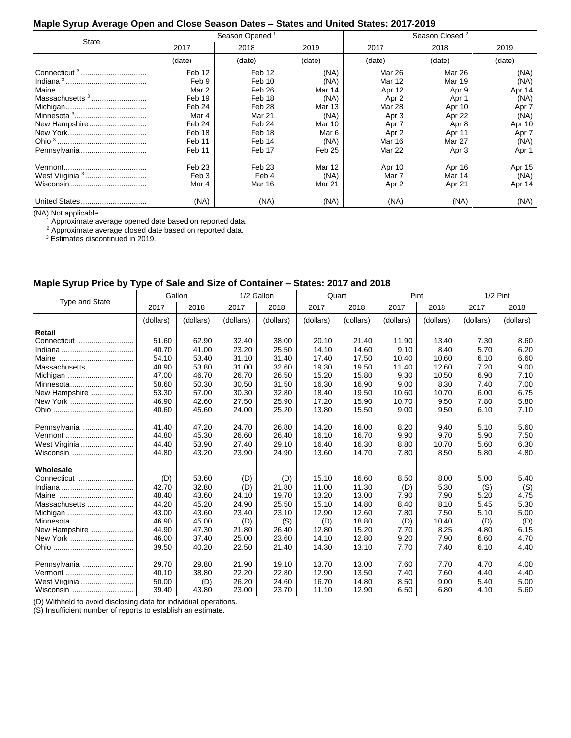## **Maple Syrup Average Open and Close Season Dates – States and United States: 2017-2019**

|                                                                                         |                                                                                               | Season Opened <sup>1</sup>                                                                       |                                                                                       | Season Closed <sup>2</sup>                                                                          |                                                                                              |                                                                                     |  |
|-----------------------------------------------------------------------------------------|-----------------------------------------------------------------------------------------------|--------------------------------------------------------------------------------------------------|---------------------------------------------------------------------------------------|-----------------------------------------------------------------------------------------------------|----------------------------------------------------------------------------------------------|-------------------------------------------------------------------------------------|--|
| State                                                                                   | 2017                                                                                          | 2018                                                                                             | 2019                                                                                  | 2017                                                                                                | 2018                                                                                         | 2019                                                                                |  |
|                                                                                         | (date)                                                                                        | (date)                                                                                           | (date)                                                                                | (date)                                                                                              | (date)                                                                                       | (date)                                                                              |  |
| Connecticut <sup>3</sup><br>Massachusetts <sup>3</sup><br>New Hampshire<br>Pennsylvania | Feb 12<br>Feb 9<br>Mar 2<br>Feb 19<br>Feb 24<br>Mar 4<br>Feb 24<br>Feb 18<br>Feb 11<br>Feb 11 | Feb 12<br>Feb 10<br>Feb 26<br>Feb 18<br>Feb 28<br>Mar 21<br>Feb 24<br>Feb 18<br>Feb 14<br>Feb 17 | (NA)<br>(NA)<br>Mar 14<br>(NA)<br>Mar 13<br>(NA)<br>Mar 10<br>Mar 6<br>(NA)<br>Feb 25 | Mar 26<br>Mar 12<br>Apr 12<br>Apr 2<br>Mar 28<br>Apr 3<br>Apr 7<br>Apr 2<br>Mar 16<br><b>Mar 22</b> | Mar 26<br>Mar 19<br>Apr 9<br>Apr 1<br>Apr 10<br>Apr 22<br>Apr 8<br>Apr 11<br>Mar 27<br>Apr 3 | (NA)<br>(NA)<br>Apr 14<br>(NA)<br>Apr 7<br>(NA)<br>Apr 10<br>Apr 7<br>(NA)<br>Apr 1 |  |
| West Virginia <sup>3</sup>                                                              | Feb <sub>23</sub><br>Feb 3<br>Mar 4<br>(NA)                                                   | Feb <sub>23</sub><br>Feb 4<br>Mar 16<br>(NA)                                                     | Mar 12<br>(NA)<br>Mar 21<br>(NA)                                                      | Apr 10<br>Mar 7<br>Apr 2<br>(NA)                                                                    | Apr 16<br>Mar 14<br>Apr 21<br>(NA)                                                           | Apr 15<br>(NA)<br>Apr 14<br>(NA)                                                    |  |

(NA) Not applicable.

 $1$  Approximate average opened date based on reported data.

 $2$  Approximate average closed date based on reported data.

<sup>3</sup> Estimates discontinued in 2019.

### **Maple Syrup Price by Type of Sale and Size of Container – States: 2017 and 2018**

|                       | Gallon    |           |           | 1/2 Gallon |           | Quart     |           | Pint      |           | $1/2$ Pint |  |
|-----------------------|-----------|-----------|-----------|------------|-----------|-----------|-----------|-----------|-----------|------------|--|
| <b>Type and State</b> | 2017      | 2018      | 2017      | 2018       | 2017      | 2018      | 2017      | 2018      | 2017      | 2018       |  |
|                       | (dollars) | (dollars) | (dollars) | (dollars)  | (dollars) | (dollars) | (dollars) | (dollars) | (dollars) | (dollars)  |  |
| Retail                |           |           |           |            |           |           |           |           |           |            |  |
| Connecticut           | 51.60     | 62.90     | 32.40     | 38.00      | 20.10     | 21.40     | 11.90     | 13.40     | 7.30      | 8.60       |  |
|                       | 40.70     | 41.00     | 23.20     | 25.50      | 14.10     | 14.60     | 9.10      | 8.40      | 5.70      | 6.20       |  |
| Maine                 | 54.10     | 53.40     | 31.10     | 31.40      | 17.40     | 17.50     | 10.40     | 10.60     | 6.10      | 6.60       |  |
| Massachusetts         | 48.90     | 53.80     | 31.00     | 32.60      | 19.30     | 19.50     | 11.40     | 12.60     | 7.20      | 9.00       |  |
| Michigan              | 47.00     | 46.70     | 26.70     | 26.50      | 15.20     | 15.80     | 9.30      | 10.50     | 6.90      | 7.10       |  |
| Minnesota             | 58.60     | 50.30     | 30.50     | 31.50      | 16.30     | 16.90     | 9.00      | 8.30      | 7.40      | 7.00       |  |
| New Hampshire         | 53.30     | 57.00     | 30.30     | 32.80      | 18.40     | 19.50     | 10.60     | 10.70     | 6.00      | 6.75       |  |
| New York              | 46.90     | 42.60     | 27.50     | 25.90      | 17.20     | 15.90     | 10.70     | 9.50      | 7.80      | 5.80       |  |
|                       | 40.60     | 45.60     | 24.00     | 25.20      | 13.80     | 15.50     | 9.00      | 9.50      | 6.10      | 7.10       |  |
| Pennsylvania          | 41.40     | 47.20     | 24.70     | 26.80      | 14.20     | 16.00     | 8.20      | 9.40      | 5.10      | 5.60       |  |
| Vermont               | 44.80     | 45.30     | 26.60     | 26.40      | 16.10     | 16.70     | 9.90      | 9.70      | 5.90      | 7.50       |  |
| West Virginia         | 44.40     | 53.90     | 27.40     | 29.10      | 16.40     | 16.30     | 8.80      | 10.70     | 5.60      | 6.30       |  |
| Wisconsin             | 44.80     | 43.20     | 23.90     | 24.90      | 13.60     | 14.70     | 7.80      | 8.50      | 5.80      | 4.80       |  |
| Wholesale             |           |           |           |            |           |           |           |           |           |            |  |
| Connecticut           | (D)       | 53.60     | (D)       | (D)        | 15.10     | 16.60     | 8.50      | 8.00      | 5.00      | 5.40       |  |
|                       | 42.70     | 32.80     | (D)       | 21.80      | 11.00     | 11.30     | (D)       | 5.30      | (S)       | (S)        |  |
| Maine                 | 48.40     | 43.60     | 24.10     | 19.70      | 13.20     | 13.00     | 7.90      | 7.90      | 5.20      | 4.75       |  |
| Massachusetts         | 44.20     | 45.20     | 24.90     | 25.50      | 15.10     | 14.80     | 8.40      | 8.10      | 5.45      | 5.30       |  |
| Michigan              | 43.00     | 43.60     | 23.40     | 23.10      | 12.90     | 12.60     | 7.80      | 7.50      | 5.10      | 5.00       |  |
| Minnesota             | 46.90     | 45.00     | (D)       | (S)        | (D)       | 18.80     | (D)       | 10.40     | (D)       | (D)        |  |
| New Hampshire         | 44.90     | 47.30     | 21.80     | 26.40      | 12.80     | 15.20     | 7.70      | 8.25      | 4.80      | 6.15       |  |
| New York              | 46.00     | 37.40     | 25.00     | 23.60      | 14.10     | 12.80     | 9.20      | 7.90      | 6.60      | 4.70       |  |
|                       | 39.50     | 40.20     | 22.50     | 21.40      | 14.30     | 13.10     | 7.70      | 7.40      | 6.10      | 4.40       |  |
| Pennsylvania          | 29.70     | 29.80     | 21.90     | 19.10      | 13.70     | 13.00     | 7.60      | 7.70      | 4.70      | 4.00       |  |
| Vermont               | 40.10     | 38.80     | 22.20     | 22.80      | 12.90     | 13.50     | 7.40      | 7.60      | 4.40      | 4.40       |  |
| West Virginia         | 50.00     | (D)       | 26.20     | 24.60      | 16.70     | 14.80     | 8.50      | 9.00      | 5.40      | 5.00       |  |
| Wisconsin             | 39.40     | 43.80     | 23.00     | 23.70      | 11.10     | 12.90     | 6.50      | 6.80      | 4.10      | 5.60       |  |

(D) Withheld to avoid disclosing data for individual operations.

(S) Insufficient number of reports to establish an estimate.